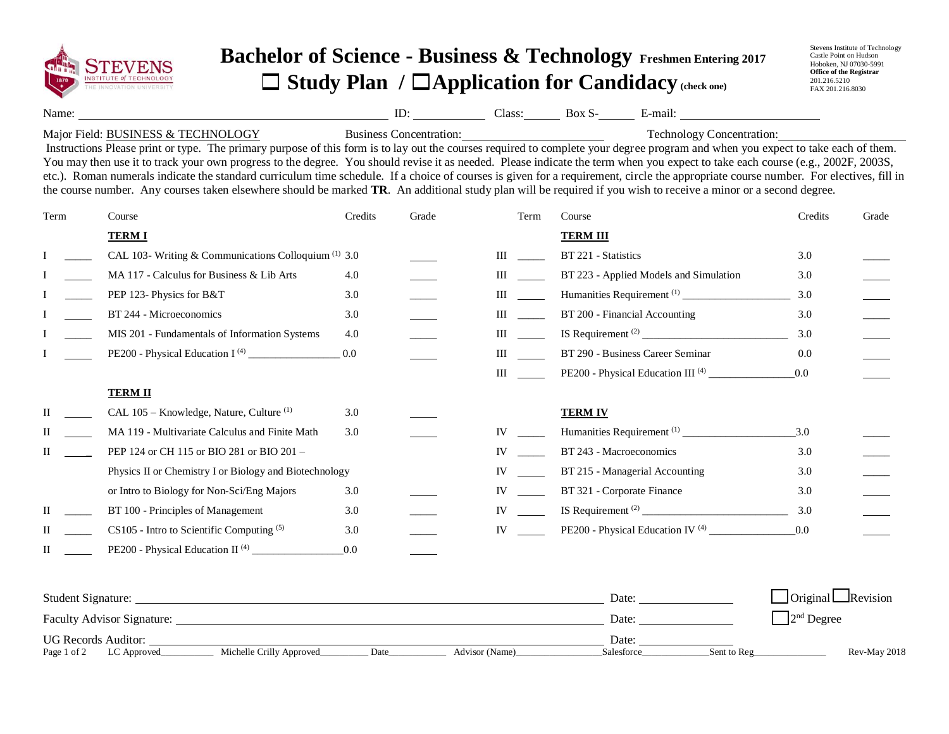

## **Bachelor of Science - Business & Technology Freshmen Entering 2017** ☐ **Study Plan /** ☐**Application for Candidacy (check one)**

Stevens Institute of Technology Castle Point on Hudson Hoboken, NJ 07030-5991 **Office of the Registrar** 201.216.5210 FAX 201.216.8030

Name: Name: Name: E-mail: Name: E-mail: Name: E-mail: Name: E-mail: Name: E-mail: Name: E-mail: Name: E-mail: Name: E-mail: Name: E-mail: Name: E-mail: Name: E-mail: Name: E-mail: Name: E-mail: Name: E-mail: Name: E-mail:

## Major Field: BUSINESS & TECHNOLOGY Business Concentration: Technology Concentration:

Instructions Please print or type. The primary purpose of this form is to lay out the courses required to complete your degree program and when you expect to take each of them. You may then use it to track your own progress to the degree. You should revise it as needed. Please indicate the term when you expect to take each course (e.g., 2002F, 2003S, etc.). Roman numerals indicate the standard curriculum time schedule. If a choice of courses is given for a requirement, circle the appropriate course number. For electives, fill in the course number. Any courses taken elsewhere should be marked **TR**. An additional study plan will be required if you wish to receive a minor or a second degree.

| Term | Course                                                          | Credits | Grade | Term | Course                                        | Credits | Grade |
|------|-----------------------------------------------------------------|---------|-------|------|-----------------------------------------------|---------|-------|
|      | <b>TERM I</b>                                                   |         |       |      | <b>TERM III</b>                               |         |       |
|      | CAL 103- Writing & Communications Colloquium <sup>(1)</sup> 3.0 |         |       | Ш    | BT 221 - Statistics                           | 3.0     |       |
|      | MA 117 - Calculus for Business & Lib Arts                       | 4.0     |       | Ш    | BT 223 - Applied Models and Simulation        | 3.0     |       |
|      | PEP 123- Physics for B&T                                        | 3.0     |       | Ш    | Humanities Requirement <sup>(1)</sup>         | 3.0     |       |
|      | BT 244 - Microeconomics                                         | 3.0     |       | Ш    | BT 200 - Financial Accounting                 | 3.0     |       |
|      | MIS 201 - Fundamentals of Information Systems                   | 4.0     |       | Ш    |                                               | 3.0     |       |
|      |                                                                 | 0.0     |       | Ш    | BT 290 - Business Career Seminar              | 0.0     |       |
|      |                                                                 |         |       | Ш    | PE200 - Physical Education III <sup>(4)</sup> | 0.0     |       |
|      | <b>TERM II</b>                                                  |         |       |      |                                               |         |       |
| П    | CAL 105 - Knowledge, Nature, Culture <sup>(1)</sup>             | 3.0     |       |      | <b>TERM IV</b>                                |         |       |
| П    | MA 119 - Multivariate Calculus and Finite Math                  | 3.0     |       | IV   |                                               | 3.0     |       |
| П    | PEP 124 or CH 115 or BIO 281 or BIO 201 -                       |         |       | IV   | BT 243 - Macroeconomics                       | 3.0     |       |
|      | Physics II or Chemistry I or Biology and Biotechnology          |         |       | IV   | BT 215 - Managerial Accounting                | 3.0     |       |
|      | or Intro to Biology for Non-Sci/Eng Majors                      | 3.0     |       | IV   | BT 321 - Corporate Finance                    | 3.0     |       |
| Н    | BT 100 - Principles of Management                               | 3.0     |       | IV   |                                               | 3.0     |       |
| П    | CS105 - Intro to Scientific Computing (5)                       | 3.0     |       | IV   | PE200 - Physical Education IV <sup>(4)</sup>  | 0.0     |       |
| П    | PE200 - Physical Education II <sup>(4)</sup>                    | 0.0     |       |      |                                               |         |       |

| <b>Student Signature:</b>  |                          |      |                | Date:      |             | $\Box$ Original $\Box$ Revision |
|----------------------------|--------------------------|------|----------------|------------|-------------|---------------------------------|
| Faculty Advisor Signature: |                          |      |                | Date:      |             | $2nd$ Degree                    |
| <b>UG Records Auditor:</b> |                          |      |                | Date:      |             |                                 |
| Page 1 of 2<br>LC Approved | Michelle Crilly Approved | Date | Advisor (Name) | Salesforce | Sent to Reg | Rev-May 2018                    |